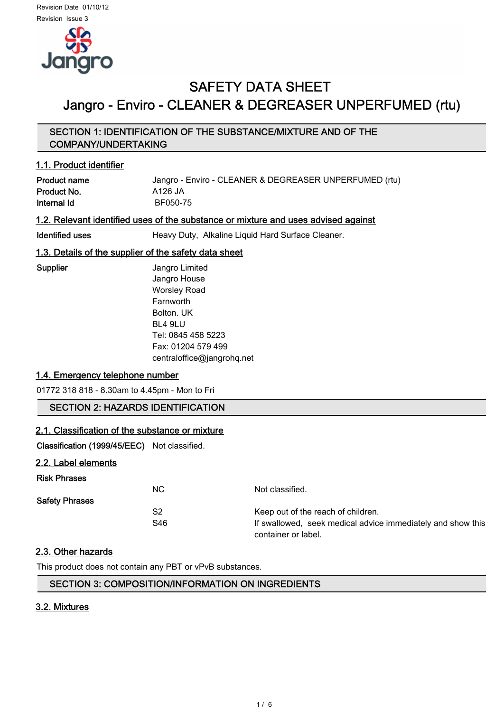

# SAFETY DATA SHEET Jangro - Enviro - CLEANER & DEGREASER UNPERFUMED (rtu)

## SECTION 1: IDENTIFICATION OF THE SUBSTANCE/MIXTURE AND OF THE COMPANY/UNDERTAKING

#### 1.1. Product identifier

Product name  $J$ angro - Enviro - CLEANER & DEGREASER UNPERFUMED (rtu) Product No. 6126 JA Internal Id
BF050-75

#### 1.2. Relevant identified uses of the substance or mixture and uses advised against

Identified uses **Heavy Duty, Alkaline Liquid Hard Surface Cleaner.** 

## 1.3. Details of the supplier of the safety data sheet

Supplier **Supplier** Jangro Limited Jangro House Worsley Road Farnworth Bolton. UK BL4 9LU Tel: 0845 458 5223 Fax: 01204 579 499 centraloffice@jangrohq.net

## 1.4. Emergency telephone number

01772 318 818 - 8.30am to 4.45pm - Mon to Fri

# SECTION 2: HAZARDS IDENTIFICATION

#### 2.1. Classification of the substance or mixture

Classification (1999/45/EEC) Not classified.

2.2. Label elements

| <b>Risk Phrases</b>   |     |                                                             |
|-----------------------|-----|-------------------------------------------------------------|
|                       | NC. | Not classified.                                             |
| <b>Safety Phrases</b> |     |                                                             |
|                       | S2  | Keep out of the reach of children.                          |
|                       | S46 | If swallowed, seek medical advice immediately and show this |
|                       |     | container or label.                                         |

#### 2.3. Other hazards

This product does not contain any PBT or vPvB substances.

#### SECTION 3: COMPOSITION/INFORMATION ON INGREDIENTS

#### 3.2. Mixtures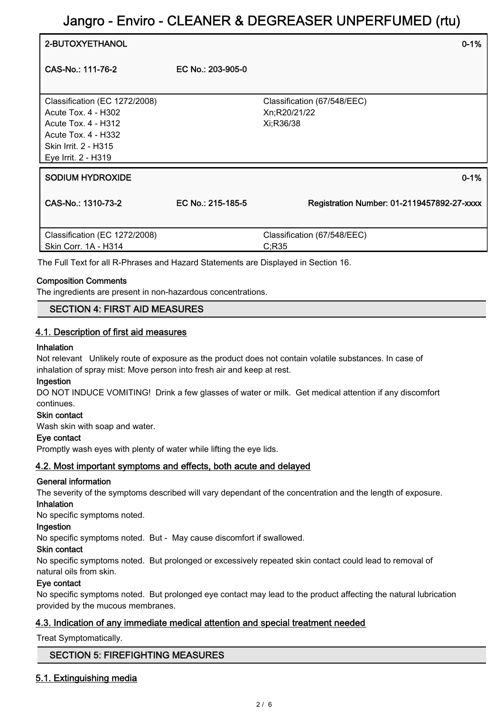| 2-BUTOXYETHANOL                                                                                                                                   |                   | $0 - 1%$                                                 |
|---------------------------------------------------------------------------------------------------------------------------------------------------|-------------------|----------------------------------------------------------|
| CAS-No.: 111-76-2                                                                                                                                 | EC No.: 203-905-0 |                                                          |
| Classification (EC 1272/2008)<br>Acute Tox. 4 - H302<br>Acute Tox. 4 - H312<br>Acute Tox. 4 - H332<br>Skin Irrit. 2 - H315<br>Eye Irrit. 2 - H319 |                   | Classification (67/548/EEC)<br>Xn;R20/21/22<br>Xi;R36/38 |
| <b>SODIUM HYDROXIDE</b>                                                                                                                           |                   | $0 - 1%$                                                 |
| CAS-No.: 1310-73-2                                                                                                                                | EC No.: 215-185-5 | Registration Number: 01-2119457892-27-xxxx               |
| Classification (EC 1272/2008)<br>Skin Corr. 1A - H314                                                                                             |                   | Classification (67/548/EEC)<br>C;R35                     |
| The Full Text for all R-Phrases and Hazard Statements are Displayed in Section 16.                                                                |                   |                                                          |

#### Composition Comments

The ingredients are present in non-hazardous concentrations.

#### SECTION 4: FIRST AID MEASURES

#### 4.1. Description of first aid measures

#### Inhalation

Not relevant Unlikely route of exposure as the product does not contain volatile substances. In case of inhalation of spray mist: Move person into fresh air and keep at rest.

#### Ingestion

DO NOT INDUCE VOMITING! Drink a few glasses of water or milk. Get medical attention if any discomfort continues.

#### Skin contact

Wash skin with soap and water.

#### Eye contact

Promptly wash eyes with plenty of water while lifting the eye lids.

#### 4.2. Most important symptoms and effects, both acute and delayed

#### General information

The severity of the symptoms described will vary dependant of the concentration and the length of exposure. Inhalation

No specific symptoms noted.

# Ingestion

No specific symptoms noted. But - May cause discomfort if swallowed.

#### Skin contact

No specific symptoms noted. But prolonged or excessively repeated skin contact could lead to removal of natural oils from skin.

#### Eye contact

No specific symptoms noted. But prolonged eye contact may lead to the product affecting the natural lubrication provided by the mucous membranes.

#### 4.3. Indication of any immediate medical attention and special treatment needed

Treat Symptomatically.

#### SECTION 5: FIREFIGHTING MEASURES

#### 5.1. Extinguishing media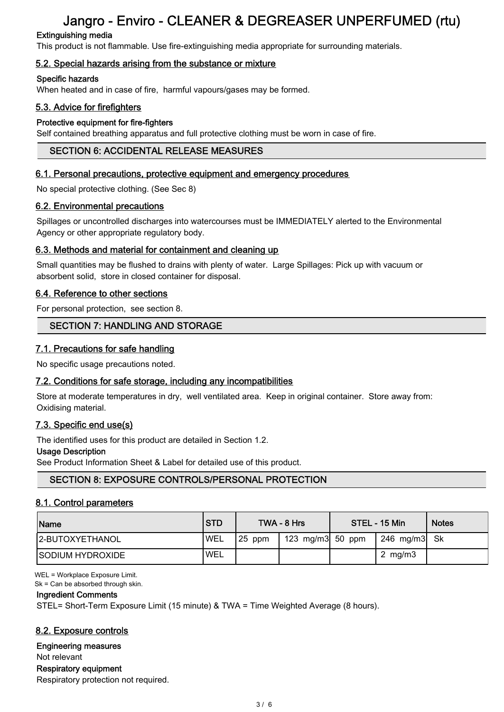# Extinguishing media

This product is not flammable. Use fire-extinguishing media appropriate for surrounding materials.

# 5.2. Special hazards arising from the substance or mixture

### Specific hazards

When heated and in case of fire, harmful vapours/gases may be formed.

## 5.3. Advice for firefighters

### Protective equipment for fire-fighters

Self contained breathing apparatus and full protective clothing must be worn in case of fire.

## SECTION 6: ACCIDENTAL RELEASE MEASURES

#### 6.1. Personal precautions, protective equipment and emergency procedures

No special protective clothing. (See Sec 8)

### 6.2. Environmental precautions

Spillages or uncontrolled discharges into watercourses must be IMMEDIATELY alerted to the Environmental Agency or other appropriate regulatory body.

### 6.3. Methods and material for containment and cleaning up

Small quantities may be flushed to drains with plenty of water. Large Spillages: Pick up with vacuum or absorbent solid, store in closed container for disposal.

### 6.4. Reference to other sections

For personal protection, see section 8.

## SECTION 7: HANDLING AND STORAGE

## 7.1. Precautions for safe handling

No specific usage precautions noted.

## 7.2. Conditions for safe storage, including any incompatibilities

Store at moderate temperatures in dry, well ventilated area. Keep in original container. Store away from: Oxidising material.

## 7.3. Specific end use(s)

The identified uses for this product are detailed in Section 1.2.

#### Usage Description

See Product Information Sheet & Label for detailed use of this product.

## SECTION 8: EXPOSURE CONTROLS/PERSONAL PROTECTION

#### 8.1. Control parameters

| Name                    | <b>ISTD</b> |           | TWA - 8 Hrs        | STEL - 15 Min | <b>Notes</b> |
|-------------------------|-------------|-----------|--------------------|---------------|--------------|
| <b>2-BUTOXYETHANOL</b>  | <b>WEL</b>  | $ 25$ ppm | 123 mg/m3 $50$ ppm | 246 mg/m3  Sk |              |
| <b>SODIUM HYDROXIDE</b> | 'WEL        |           |                    | 2 mg/m $3$    |              |

WEL = Workplace Exposure Limit.

Sk = Can be absorbed through skin.

#### Ingredient Comments

STEL= Short-Term Exposure Limit (15 minute) & TWA = Time Weighted Average (8 hours).

## 8.2. Exposure controls

#### Engineering measures

Not relevant Respiratory equipment

Respiratory protection not required.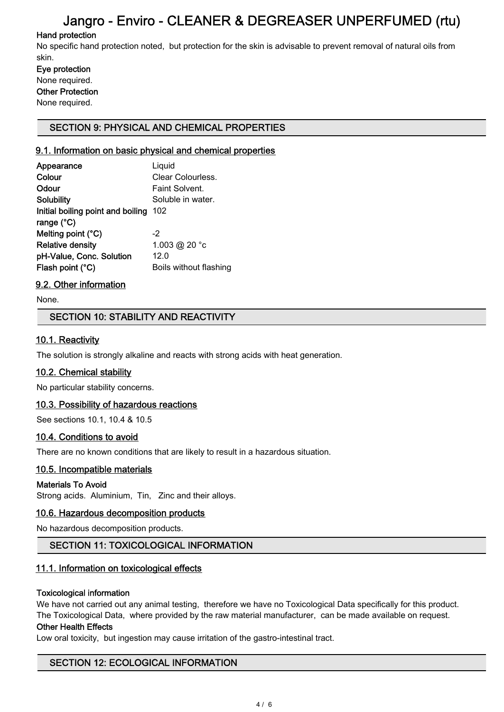# Hand protection

No specific hand protection noted, but protection for the skin is advisable to prevent removal of natural oils from skin.

Eye protection None required. Other Protection None required.

### SECTION 9: PHYSICAL AND CHEMICAL PROPERTIES

### 9.1. Information on basic physical and chemical properties

| Appearance                        | Liquid                 |
|-----------------------------------|------------------------|
| Colour                            | Clear Colourless.      |
| Odour                             | Faint Solvent.         |
| Solubility                        | Soluble in water.      |
| Initial boiling point and boiling | 102                    |
| range $(^{\circ}C)$               |                        |
| Melting point (°C)                | $-2$                   |
| <b>Relative density</b>           | 1.003 @ 20 °c          |
| pH-Value, Conc. Solution          | 12.0                   |
| Flash point (°C)                  | Boils without flashing |

## 9.2. Other information

None.

### SECTION 10: STABILITY AND REACTIVITY

### 10.1. Reactivity

The solution is strongly alkaline and reacts with strong acids with heat generation.

#### 10.2. Chemical stability

No particular stability concerns.

#### 10.3. Possibility of hazardous reactions

See sections 10.1, 10.4 & 10.5

#### 10.4. Conditions to avoid

There are no known conditions that are likely to result in a hazardous situation.

#### 10.5. Incompatible materials

#### Materials To Avoid

Strong acids. Aluminium, Tin, Zinc and their alloys.

#### 10.6. Hazardous decomposition products

No hazardous decomposition products.

## SECTION 11: TOXICOLOGICAL INFORMATION

## 11.1. Information on toxicological effects

#### Toxicological information

We have not carried out any animal testing, therefore we have no Toxicological Data specifically for this product. The Toxicological Data, where provided by the raw material manufacturer, can be made available on request.

#### Other Health Effects

Low oral toxicity, but ingestion may cause irritation of the gastro-intestinal tract.

## SECTION 12: ECOLOGICAL INFORMATION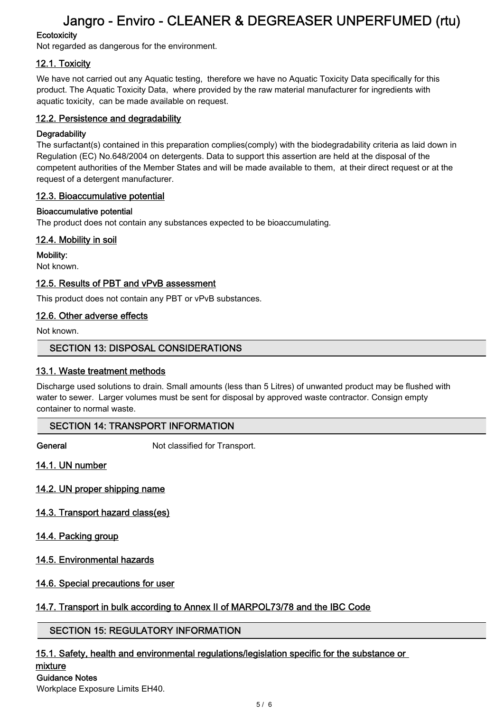# **Ecotoxicity**

Not regarded as dangerous for the environment.

# 12.1. Toxicity

We have not carried out any Aquatic testing, therefore we have no Aquatic Toxicity Data specifically for this product. The Aquatic Toxicity Data, where provided by the raw material manufacturer for ingredients with aquatic toxicity, can be made available on request.

## 12.2. Persistence and degradability

# **Degradability**

The surfactant(s) contained in this preparation complies(comply) with the biodegradability criteria as laid down in Regulation (EC) No.648/2004 on detergents. Data to support this assertion are held at the disposal of the competent authorities of the Member States and will be made available to them, at their direct request or at the request of a detergent manufacturer.

# 12.3. Bioaccumulative potential

## Bioaccumulative potential

The product does not contain any substances expected to be bioaccumulating.

# 12.4. Mobility in soil

Mobility: Not known.

# 12.5. Results of PBT and vPvB assessment

This product does not contain any PBT or vPvB substances.

# 12.6. Other adverse effects

Not known.

# SECTION 13: DISPOSAL CONSIDERATIONS

# 13.1. Waste treatment methods

Discharge used solutions to drain. Small amounts (less than 5 Litres) of unwanted product may be flushed with water to sewer. Larger volumes must be sent for disposal by approved waste contractor. Consign empty container to normal waste.

# SECTION 14: TRANSPORT INFORMATION

General Not classified for Transport.

14.1. UN number

14.2. UN proper shipping name

# 14.3. Transport hazard class(es)

# 14.4. Packing group

14.5. Environmental hazards

# 14.6. Special precautions for user

# 14.7. Transport in bulk according to Annex II of MARPOL73/78 and the IBC Code

# SECTION 15: REGULATORY INFORMATION

# 15.1. Safety, health and environmental regulations/legislation specific for the substance or

#### mixture Guidance Notes